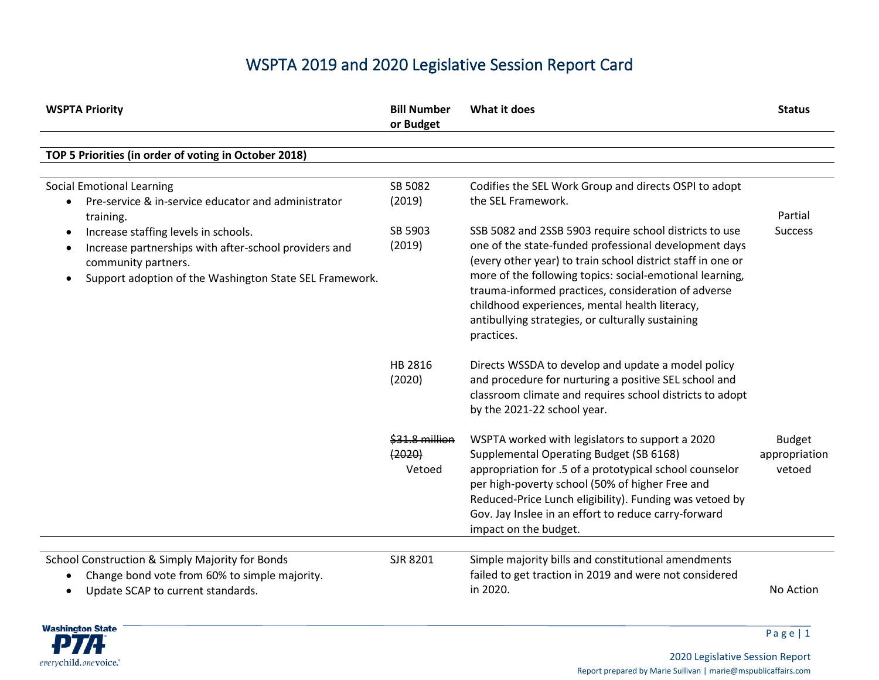## WSPTA 2019 and 2020 Legislative Session Report Card

| <b>WSPTA Priority</b>                                                                                                                                                                                                                                                                                     | <b>Bill Number</b><br>or Budget        | What it does                                                                                                                                                                                                                                                                                                                                                                                                                                                                                          | <b>Status</b>                            |
|-----------------------------------------------------------------------------------------------------------------------------------------------------------------------------------------------------------------------------------------------------------------------------------------------------------|----------------------------------------|-------------------------------------------------------------------------------------------------------------------------------------------------------------------------------------------------------------------------------------------------------------------------------------------------------------------------------------------------------------------------------------------------------------------------------------------------------------------------------------------------------|------------------------------------------|
| TOP 5 Priorities (in order of voting in October 2018)                                                                                                                                                                                                                                                     |                                        |                                                                                                                                                                                                                                                                                                                                                                                                                                                                                                       |                                          |
| <b>Social Emotional Learning</b><br>Pre-service & in-service educator and administrator<br>training.<br>Increase staffing levels in schools.<br>$\bullet$<br>Increase partnerships with after-school providers and<br>٠<br>community partners.<br>Support adoption of the Washington State SEL Framework. | SB 5082<br>(2019)<br>SB 5903<br>(2019) | Codifies the SEL Work Group and directs OSPI to adopt<br>the SEL Framework.<br>SSB 5082 and 2SSB 5903 require school districts to use<br>one of the state-funded professional development days<br>(every other year) to train school district staff in one or<br>more of the following topics: social-emotional learning,<br>trauma-informed practices, consideration of adverse<br>childhood experiences, mental health literacy,<br>antibullying strategies, or culturally sustaining<br>practices. | Partial<br><b>Success</b>                |
|                                                                                                                                                                                                                                                                                                           | HB 2816<br>(2020)                      | Directs WSSDA to develop and update a model policy<br>and procedure for nurturing a positive SEL school and<br>classroom climate and requires school districts to adopt<br>by the 2021-22 school year.                                                                                                                                                                                                                                                                                                |                                          |
|                                                                                                                                                                                                                                                                                                           | \$31.8 million<br>(2020)<br>Vetoed     | WSPTA worked with legislators to support a 2020<br>Supplemental Operating Budget (SB 6168)<br>appropriation for .5 of a prototypical school counselor<br>per high-poverty school (50% of higher Free and<br>Reduced-Price Lunch eligibility). Funding was vetoed by<br>Gov. Jay Inslee in an effort to reduce carry-forward<br>impact on the budget.                                                                                                                                                  | <b>Budget</b><br>appropriation<br>vetoed |
| School Construction & Simply Majority for Bonds<br>Change bond vote from 60% to simple majority.<br>Update SCAP to current standards.                                                                                                                                                                     | SJR 8201                               | Simple majority bills and constitutional amendments<br>failed to get traction in 2019 and were not considered<br>in 2020.                                                                                                                                                                                                                                                                                                                                                                             | No Action                                |

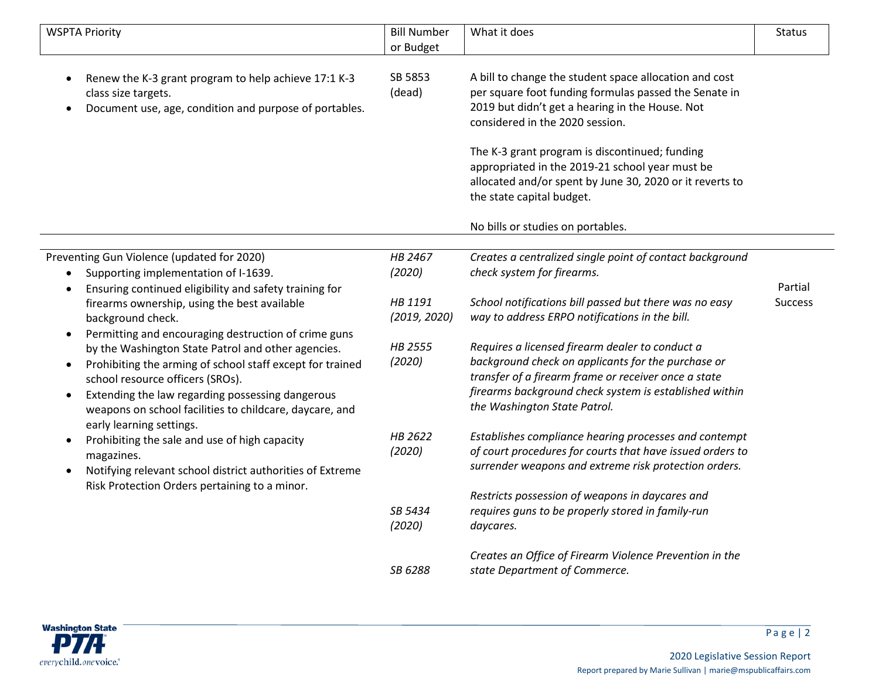| <b>WSPTA Priority</b>                                                                                                                                                                                                                                                                                                                                                                         | <b>Bill Number</b><br>or Budget              | What it does                                                                                                                                                                                                                                                                                                                                                                                        | <b>Status</b>             |
|-----------------------------------------------------------------------------------------------------------------------------------------------------------------------------------------------------------------------------------------------------------------------------------------------------------------------------------------------------------------------------------------------|----------------------------------------------|-----------------------------------------------------------------------------------------------------------------------------------------------------------------------------------------------------------------------------------------------------------------------------------------------------------------------------------------------------------------------------------------------------|---------------------------|
| Renew the K-3 grant program to help achieve 17:1 K-3<br>$\bullet$<br>class size targets.<br>Document use, age, condition and purpose of portables.                                                                                                                                                                                                                                            | SB 5853<br>(dead)                            | A bill to change the student space allocation and cost<br>per square foot funding formulas passed the Senate in<br>2019 but didn't get a hearing in the House. Not<br>considered in the 2020 session.<br>The K-3 grant program is discontinued; funding<br>appropriated in the 2019-21 school year must be<br>allocated and/or spent by June 30, 2020 or it reverts to<br>the state capital budget. |                           |
|                                                                                                                                                                                                                                                                                                                                                                                               |                                              | No bills or studies on portables.                                                                                                                                                                                                                                                                                                                                                                   |                           |
| Preventing Gun Violence (updated for 2020)<br>Supporting implementation of I-1639.<br>Ensuring continued eligibility and safety training for<br>$\bullet$<br>firearms ownership, using the best available<br>background check.                                                                                                                                                                | HB 2467<br>(2020)<br>HB 1191<br>(2019, 2020) | Creates a centralized single point of contact background<br>check system for firearms.<br>School notifications bill passed but there was no easy<br>way to address ERPO notifications in the bill.                                                                                                                                                                                                  | Partial<br><b>Success</b> |
| Permitting and encouraging destruction of crime guns<br>$\bullet$<br>by the Washington State Patrol and other agencies.<br>Prohibiting the arming of school staff except for trained<br>$\bullet$<br>school resource officers (SROs).<br>Extending the law regarding possessing dangerous<br>$\bullet$<br>weapons on school facilities to childcare, daycare, and<br>early learning settings. | HB 2555<br>(2020)                            | Requires a licensed firearm dealer to conduct a<br>background check on applicants for the purchase or<br>transfer of a firearm frame or receiver once a state<br>firearms background check system is established within<br>the Washington State Patrol.                                                                                                                                             |                           |
| Prohibiting the sale and use of high capacity<br>$\bullet$<br>magazines.<br>Notifying relevant school district authorities of Extreme<br>$\bullet$                                                                                                                                                                                                                                            | HB 2622<br>(2020)                            | Establishes compliance hearing processes and contempt<br>of court procedures for courts that have issued orders to<br>surrender weapons and extreme risk protection orders.                                                                                                                                                                                                                         |                           |
| Risk Protection Orders pertaining to a minor.                                                                                                                                                                                                                                                                                                                                                 | SB 5434<br>(2020)                            | Restricts possession of weapons in daycares and<br>requires guns to be properly stored in family-run<br>daycares.                                                                                                                                                                                                                                                                                   |                           |
|                                                                                                                                                                                                                                                                                                                                                                                               | SB 6288                                      | Creates an Office of Firearm Violence Prevention in the<br>state Department of Commerce.                                                                                                                                                                                                                                                                                                            |                           |

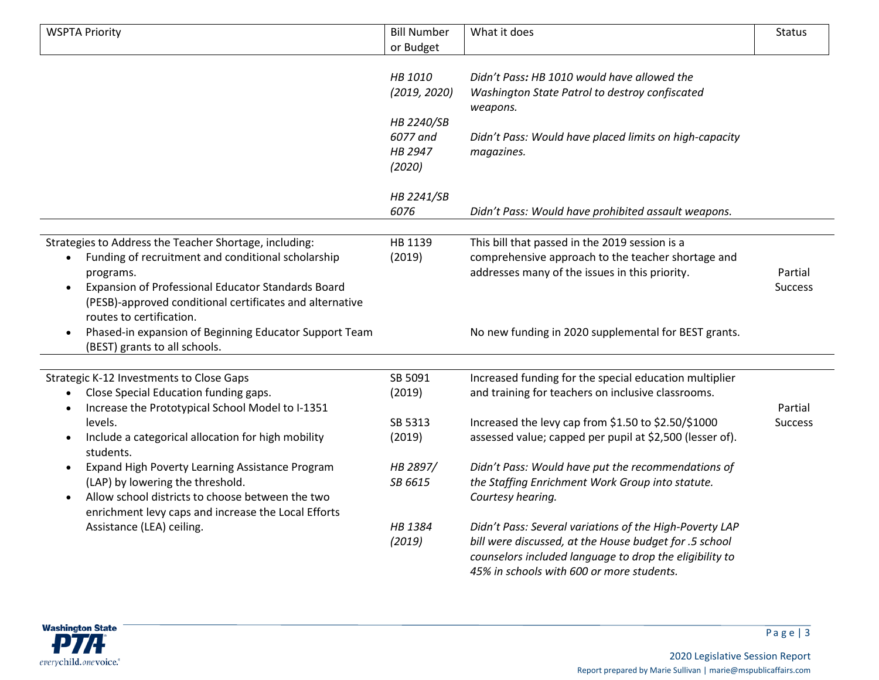| <b>WSPTA Priority</b>                                                                                                                                                                                                                                                                             | <b>Bill Number</b>                          | What it does                                                                                                                                                                                                                    | <b>Status</b>             |
|---------------------------------------------------------------------------------------------------------------------------------------------------------------------------------------------------------------------------------------------------------------------------------------------------|---------------------------------------------|---------------------------------------------------------------------------------------------------------------------------------------------------------------------------------------------------------------------------------|---------------------------|
|                                                                                                                                                                                                                                                                                                   | or Budget                                   |                                                                                                                                                                                                                                 |                           |
|                                                                                                                                                                                                                                                                                                   | HB 1010<br>(2019, 2020)                     | Didn't Pass: HB 1010 would have allowed the<br>Washington State Patrol to destroy confiscated<br>weapons.                                                                                                                       |                           |
|                                                                                                                                                                                                                                                                                                   | HB 2240/SB<br>6077 and<br>HB 2947<br>(2020) | Didn't Pass: Would have placed limits on high-capacity<br>magazines.                                                                                                                                                            |                           |
|                                                                                                                                                                                                                                                                                                   | HB 2241/SB<br>6076                          | Didn't Pass: Would have prohibited assault weapons.                                                                                                                                                                             |                           |
| Strategies to Address the Teacher Shortage, including:<br>Funding of recruitment and conditional scholarship<br>$\bullet$<br>programs.<br>Expansion of Professional Educator Standards Board<br>$\bullet$<br>(PESB)-approved conditional certificates and alternative<br>routes to certification. | HB 1139<br>(2019)                           | This bill that passed in the 2019 session is a<br>comprehensive approach to the teacher shortage and<br>addresses many of the issues in this priority.                                                                          | Partial<br><b>Success</b> |
| Phased-in expansion of Beginning Educator Support Team<br>$\bullet$<br>(BEST) grants to all schools.                                                                                                                                                                                              |                                             | No new funding in 2020 supplemental for BEST grants.                                                                                                                                                                            |                           |
| Strategic K-12 Investments to Close Gaps<br>Close Special Education funding gaps.<br>$\bullet$<br>Increase the Prototypical School Model to I-1351<br>$\bullet$<br>levels.<br>Include a categorical allocation for high mobility<br>$\bullet$                                                     | SB 5091<br>(2019)<br>SB 5313<br>(2019)      | Increased funding for the special education multiplier<br>and training for teachers on inclusive classrooms.<br>Increased the levy cap from \$1.50 to \$2.50/\$1000<br>assessed value; capped per pupil at \$2,500 (lesser of). | Partial<br><b>Success</b> |
| students.<br>Expand High Poverty Learning Assistance Program<br>$\bullet$<br>(LAP) by lowering the threshold.<br>Allow school districts to choose between the two<br>$\bullet$<br>enrichment levy caps and increase the Local Efforts                                                             | HB 2897/<br>SB 6615                         | Didn't Pass: Would have put the recommendations of<br>the Staffing Enrichment Work Group into statute.<br>Courtesy hearing.                                                                                                     |                           |
| Assistance (LEA) ceiling.                                                                                                                                                                                                                                                                         | HB 1384<br>(2019)                           | Didn't Pass: Several variations of the High-Poverty LAP<br>bill were discussed, at the House budget for .5 school<br>counselors included language to drop the eligibility to<br>45% in schools with 600 or more students.       |                           |

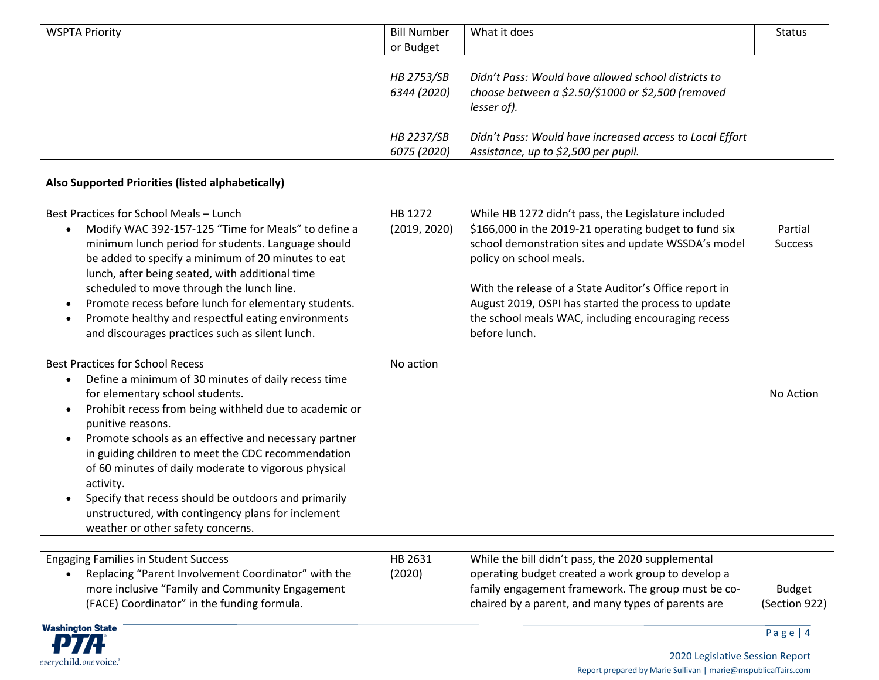| <b>WSPTA Priority</b>                                               | <b>Bill Number</b> | What it does                                             | <b>Status</b>  |
|---------------------------------------------------------------------|--------------------|----------------------------------------------------------|----------------|
|                                                                     | or Budget          |                                                          |                |
|                                                                     | <b>HB 2753/SB</b>  | Didn't Pass: Would have allowed school districts to      |                |
|                                                                     | 6344 (2020)        | choose between a \$2.50/\$1000 or \$2,500 (removed       |                |
|                                                                     |                    | lesser of).                                              |                |
|                                                                     |                    |                                                          |                |
|                                                                     | HB 2237/SB         | Didn't Pass: Would have increased access to Local Effort |                |
|                                                                     | 6075 (2020)        | Assistance, up to \$2,500 per pupil.                     |                |
| Also Supported Priorities (listed alphabetically)                   |                    |                                                          |                |
|                                                                     |                    |                                                          |                |
| Best Practices for School Meals - Lunch                             | HB 1272            | While HB 1272 didn't pass, the Legislature included      |                |
| Modify WAC 392-157-125 "Time for Meals" to define a                 | (2019, 2020)       | \$166,000 in the 2019-21 operating budget to fund six    | Partial        |
| minimum lunch period for students. Language should                  |                    | school demonstration sites and update WSSDA's model      | <b>Success</b> |
| be added to specify a minimum of 20 minutes to eat                  |                    | policy on school meals.                                  |                |
| lunch, after being seated, with additional time                     |                    |                                                          |                |
| scheduled to move through the lunch line.                           |                    | With the release of a State Auditor's Office report in   |                |
| Promote recess before lunch for elementary students.<br>٠           |                    | August 2019, OSPI has started the process to update      |                |
| Promote healthy and respectful eating environments                  |                    | the school meals WAC, including encouraging recess       |                |
| and discourages practices such as silent lunch.                     |                    | before lunch.                                            |                |
| <b>Best Practices for School Recess</b>                             | No action          |                                                          |                |
| Define a minimum of 30 minutes of daily recess time                 |                    |                                                          |                |
| for elementary school students.                                     |                    |                                                          | No Action      |
| Prohibit recess from being withheld due to academic or<br>$\bullet$ |                    |                                                          |                |
| punitive reasons.                                                   |                    |                                                          |                |
| Promote schools as an effective and necessary partner<br>$\bullet$  |                    |                                                          |                |
| in guiding children to meet the CDC recommendation                  |                    |                                                          |                |
| of 60 minutes of daily moderate to vigorous physical                |                    |                                                          |                |
| activity.                                                           |                    |                                                          |                |
| Specify that recess should be outdoors and primarily                |                    |                                                          |                |
| unstructured, with contingency plans for inclement                  |                    |                                                          |                |
| weather or other safety concerns.                                   |                    |                                                          |                |
| <b>Engaging Families in Student Success</b>                         | HB 2631            | While the bill didn't pass, the 2020 supplemental        |                |
| Replacing "Parent Involvement Coordinator" with the                 | (2020)             | operating budget created a work group to develop a       |                |
| more inclusive "Family and Community Engagement                     |                    | family engagement framework. The group must be co-       | <b>Budget</b>  |
| (FACE) Coordinator" in the funding formula.                         |                    | chaired by a parent, and many types of parents are       | (Section 922)  |
|                                                                     |                    |                                                          |                |
| <b>Washington State</b><br>R <del>. .</del>                         |                    |                                                          | Page   $4$     |

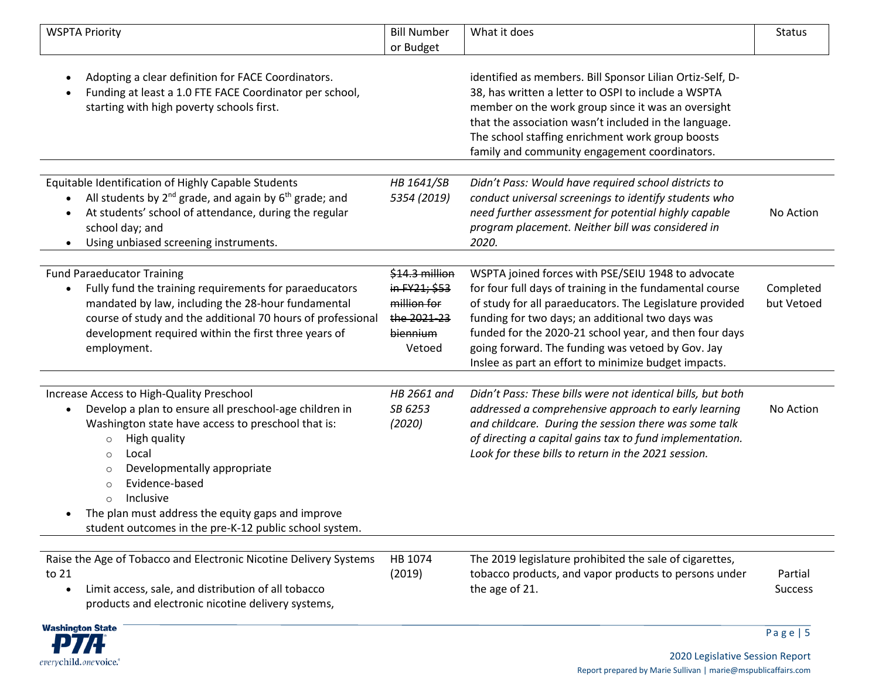| <b>WSPTA Priority</b>                                                                                                                                                                                                                                                                                                                                                                                                   | <b>Bill Number</b><br>or Budget                                                     | What it does                                                                                                                                                                                                                                                                                                                                                                                          | <b>Status</b>             |
|-------------------------------------------------------------------------------------------------------------------------------------------------------------------------------------------------------------------------------------------------------------------------------------------------------------------------------------------------------------------------------------------------------------------------|-------------------------------------------------------------------------------------|-------------------------------------------------------------------------------------------------------------------------------------------------------------------------------------------------------------------------------------------------------------------------------------------------------------------------------------------------------------------------------------------------------|---------------------------|
| Adopting a clear definition for FACE Coordinators.<br>Funding at least a 1.0 FTE FACE Coordinator per school,<br>starting with high poverty schools first.                                                                                                                                                                                                                                                              |                                                                                     | identified as members. Bill Sponsor Lilian Ortiz-Self, D-<br>38, has written a letter to OSPI to include a WSPTA<br>member on the work group since it was an oversight<br>that the association wasn't included in the language.<br>The school staffing enrichment work group boosts<br>family and community engagement coordinators.                                                                  |                           |
| Equitable Identification of Highly Capable Students<br>All students by $2^{nd}$ grade, and again by $6^{th}$ grade; and<br>At students' school of attendance, during the regular<br>school day; and<br>Using unbiased screening instruments.<br>$\bullet$                                                                                                                                                               | HB 1641/SB<br>5354 (2019)                                                           | Didn't Pass: Would have required school districts to<br>conduct universal screenings to identify students who<br>need further assessment for potential highly capable<br>program placement. Neither bill was considered in<br>2020.                                                                                                                                                                   | No Action                 |
| <b>Fund Paraeducator Training</b><br>Fully fund the training requirements for paraeducators<br>mandated by law, including the 28-hour fundamental<br>course of study and the additional 70 hours of professional<br>development required within the first three years of<br>employment.                                                                                                                                 | \$14.3 million<br>in FY21; \$53<br>million for<br>the 2021-23<br>biennium<br>Vetoed | WSPTA joined forces with PSE/SEIU 1948 to advocate<br>for four full days of training in the fundamental course<br>of study for all paraeducators. The Legislature provided<br>funding for two days; an additional two days was<br>funded for the 2020-21 school year, and then four days<br>going forward. The funding was vetoed by Gov. Jay<br>Inslee as part an effort to minimize budget impacts. | Completed<br>but Vetoed   |
| Increase Access to High-Quality Preschool<br>Develop a plan to ensure all preschool-age children in<br>Washington state have access to preschool that is:<br>High quality<br>$\circ$<br>Local<br>$\circ$<br>Developmentally appropriate<br>$\circ$<br>Evidence-based<br>$\circ$<br>Inclusive<br>$\Omega$<br>The plan must address the equity gaps and improve<br>student outcomes in the pre-K-12 public school system. | HB 2661 and<br>SB 6253<br>(2020)                                                    | Didn't Pass: These bills were not identical bills, but both<br>addressed a comprehensive approach to early learning<br>and childcare. During the session there was some talk<br>of directing a capital gains tax to fund implementation.<br>Look for these bills to return in the 2021 session.                                                                                                       | No Action                 |
| Raise the Age of Tobacco and Electronic Nicotine Delivery Systems<br>to 21<br>Limit access, sale, and distribution of all tobacco<br>$\bullet$<br>products and electronic nicotine delivery systems,                                                                                                                                                                                                                    | HB 1074<br>(2019)                                                                   | The 2019 legislature prohibited the sale of cigarettes,<br>tobacco products, and vapor products to persons under<br>the age of 21.                                                                                                                                                                                                                                                                    | Partial<br><b>Success</b> |
| <b>Washington State</b><br>n y yn                                                                                                                                                                                                                                                                                                                                                                                       |                                                                                     |                                                                                                                                                                                                                                                                                                                                                                                                       | Page   $5$                |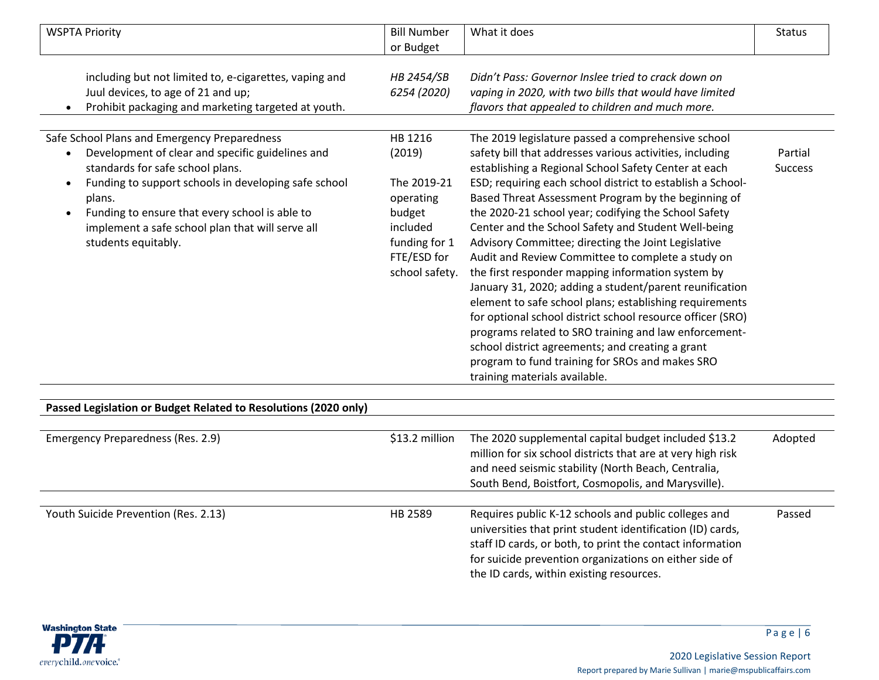| <b>WSPTA Priority</b>                                                                                                                                                                                                                                                                                                                            | <b>Bill Number</b>                                                                                                    | What it does                                                                                                                                                                                                                                                                                                                                                                                                                                                                                                                                                                                                                                                                                                                                                                                                                                                                                                                                                     | <b>Status</b>             |
|--------------------------------------------------------------------------------------------------------------------------------------------------------------------------------------------------------------------------------------------------------------------------------------------------------------------------------------------------|-----------------------------------------------------------------------------------------------------------------------|------------------------------------------------------------------------------------------------------------------------------------------------------------------------------------------------------------------------------------------------------------------------------------------------------------------------------------------------------------------------------------------------------------------------------------------------------------------------------------------------------------------------------------------------------------------------------------------------------------------------------------------------------------------------------------------------------------------------------------------------------------------------------------------------------------------------------------------------------------------------------------------------------------------------------------------------------------------|---------------------------|
|                                                                                                                                                                                                                                                                                                                                                  | or Budget                                                                                                             |                                                                                                                                                                                                                                                                                                                                                                                                                                                                                                                                                                                                                                                                                                                                                                                                                                                                                                                                                                  |                           |
| including but not limited to, e-cigarettes, vaping and<br>Juul devices, to age of 21 and up;<br>Prohibit packaging and marketing targeted at youth.                                                                                                                                                                                              | HB 2454/SB<br>6254 (2020)                                                                                             | Didn't Pass: Governor Inslee tried to crack down on<br>vaping in 2020, with two bills that would have limited<br>flavors that appealed to children and much more.                                                                                                                                                                                                                                                                                                                                                                                                                                                                                                                                                                                                                                                                                                                                                                                                |                           |
| Safe School Plans and Emergency Preparedness<br>Development of clear and specific guidelines and<br>standards for safe school plans.<br>Funding to support schools in developing safe school<br>plans.<br>Funding to ensure that every school is able to<br>$\bullet$<br>implement a safe school plan that will serve all<br>students equitably. | HB 1216<br>(2019)<br>The 2019-21<br>operating<br>budget<br>included<br>funding for 1<br>FTE/ESD for<br>school safety. | The 2019 legislature passed a comprehensive school<br>safety bill that addresses various activities, including<br>establishing a Regional School Safety Center at each<br>ESD; requiring each school district to establish a School-<br>Based Threat Assessment Program by the beginning of<br>the 2020-21 school year; codifying the School Safety<br>Center and the School Safety and Student Well-being<br>Advisory Committee; directing the Joint Legislative<br>Audit and Review Committee to complete a study on<br>the first responder mapping information system by<br>January 31, 2020; adding a student/parent reunification<br>element to safe school plans; establishing requirements<br>for optional school district school resource officer (SRO)<br>programs related to SRO training and law enforcement-<br>school district agreements; and creating a grant<br>program to fund training for SROs and makes SRO<br>training materials available. | Partial<br><b>Success</b> |

| Passed Legislation or Budget Related to Resolutions (2020 only) |                |                                                                                                                                                                                                                                                                                       |         |
|-----------------------------------------------------------------|----------------|---------------------------------------------------------------------------------------------------------------------------------------------------------------------------------------------------------------------------------------------------------------------------------------|---------|
| Emergency Preparedness (Res. 2.9)                               | \$13.2 million | The 2020 supplemental capital budget included \$13.2<br>million for six school districts that are at very high risk<br>and need seismic stability (North Beach, Centralia,<br>South Bend, Boistfort, Cosmopolis, and Marysville).                                                     | Adopted |
| Youth Suicide Prevention (Res. 2.13)                            | HB 2589        | Requires public K-12 schools and public colleges and<br>universities that print student identification (ID) cards,<br>staff ID cards, or both, to print the contact information<br>for suicide prevention organizations on either side of<br>the ID cards, within existing resources. | Passed  |

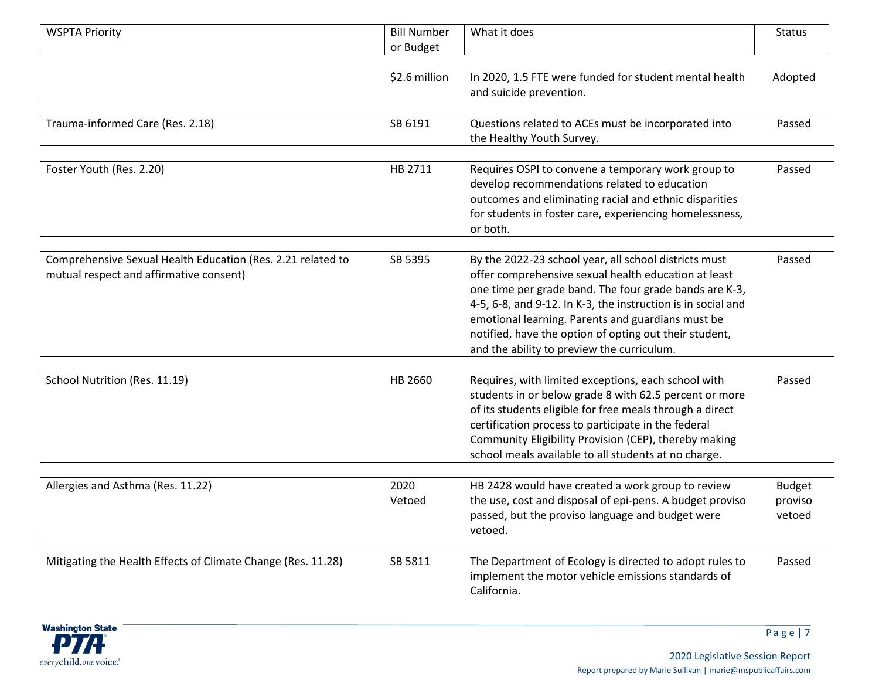| <b>WSPTA Priority</b>                                                                                  | <b>Bill Number</b><br>or Budget | What it does                                                                                                                                                                                                                                                                                                                                                                                         | <b>Status</b>                      |
|--------------------------------------------------------------------------------------------------------|---------------------------------|------------------------------------------------------------------------------------------------------------------------------------------------------------------------------------------------------------------------------------------------------------------------------------------------------------------------------------------------------------------------------------------------------|------------------------------------|
|                                                                                                        | \$2.6 million                   | In 2020, 1.5 FTE were funded for student mental health<br>and suicide prevention.                                                                                                                                                                                                                                                                                                                    | Adopted                            |
| Trauma-informed Care (Res. 2.18)                                                                       | SB 6191                         | Questions related to ACEs must be incorporated into<br>the Healthy Youth Survey.                                                                                                                                                                                                                                                                                                                     | Passed                             |
| Foster Youth (Res. 2.20)                                                                               | HB 2711                         | Requires OSPI to convene a temporary work group to<br>develop recommendations related to education<br>outcomes and eliminating racial and ethnic disparities<br>for students in foster care, experiencing homelessness,<br>or both.                                                                                                                                                                  | Passed                             |
| Comprehensive Sexual Health Education (Res. 2.21 related to<br>mutual respect and affirmative consent) | SB 5395                         | By the 2022-23 school year, all school districts must<br>offer comprehensive sexual health education at least<br>one time per grade band. The four grade bands are K-3,<br>4-5, 6-8, and 9-12. In K-3, the instruction is in social and<br>emotional learning. Parents and guardians must be<br>notified, have the option of opting out their student,<br>and the ability to preview the curriculum. | Passed                             |
| School Nutrition (Res. 11.19)                                                                          | HB 2660                         | Requires, with limited exceptions, each school with<br>students in or below grade 8 with 62.5 percent or more<br>of its students eligible for free meals through a direct<br>certification process to participate in the federal<br>Community Eligibility Provision (CEP), thereby making<br>school meals available to all students at no charge.                                                    | Passed                             |
| Allergies and Asthma (Res. 11.22)                                                                      | 2020<br>Vetoed                  | HB 2428 would have created a work group to review<br>the use, cost and disposal of epi-pens. A budget proviso<br>passed, but the proviso language and budget were<br>vetoed.                                                                                                                                                                                                                         | <b>Budget</b><br>proviso<br>vetoed |
| Mitigating the Health Effects of Climate Change (Res. 11.28)                                           | SB 5811                         | The Department of Ecology is directed to adopt rules to<br>implement the motor vehicle emissions standards of<br>California.                                                                                                                                                                                                                                                                         | Passed                             |

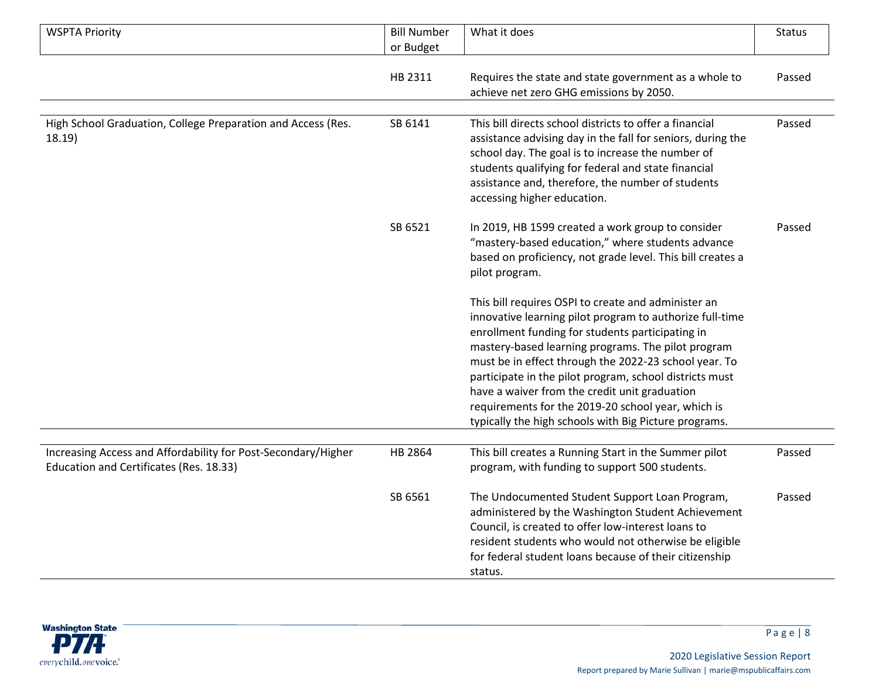| <b>WSPTA Priority</b>                                                                                    | <b>Bill Number</b> | What it does                                                                                                                                                                                                                                                                                                                                                                                                                                                                                                  | <b>Status</b> |
|----------------------------------------------------------------------------------------------------------|--------------------|---------------------------------------------------------------------------------------------------------------------------------------------------------------------------------------------------------------------------------------------------------------------------------------------------------------------------------------------------------------------------------------------------------------------------------------------------------------------------------------------------------------|---------------|
|                                                                                                          | or Budget          |                                                                                                                                                                                                                                                                                                                                                                                                                                                                                                               |               |
|                                                                                                          | HB 2311            | Requires the state and state government as a whole to<br>achieve net zero GHG emissions by 2050.                                                                                                                                                                                                                                                                                                                                                                                                              | Passed        |
| High School Graduation, College Preparation and Access (Res.<br>18.19)                                   | SB 6141            | This bill directs school districts to offer a financial<br>assistance advising day in the fall for seniors, during the<br>school day. The goal is to increase the number of<br>students qualifying for federal and state financial<br>assistance and, therefore, the number of students<br>accessing higher education.                                                                                                                                                                                        | Passed        |
|                                                                                                          | SB 6521            | In 2019, HB 1599 created a work group to consider<br>"mastery-based education," where students advance<br>based on proficiency, not grade level. This bill creates a<br>pilot program.                                                                                                                                                                                                                                                                                                                        | Passed        |
|                                                                                                          |                    | This bill requires OSPI to create and administer an<br>innovative learning pilot program to authorize full-time<br>enrollment funding for students participating in<br>mastery-based learning programs. The pilot program<br>must be in effect through the 2022-23 school year. To<br>participate in the pilot program, school districts must<br>have a waiver from the credit unit graduation<br>requirements for the 2019-20 school year, which is<br>typically the high schools with Big Picture programs. |               |
|                                                                                                          |                    |                                                                                                                                                                                                                                                                                                                                                                                                                                                                                                               |               |
| Increasing Access and Affordability for Post-Secondary/Higher<br>Education and Certificates (Res. 18.33) | HB 2864            | This bill creates a Running Start in the Summer pilot<br>program, with funding to support 500 students.                                                                                                                                                                                                                                                                                                                                                                                                       | Passed        |
|                                                                                                          | SB 6561            | The Undocumented Student Support Loan Program,<br>administered by the Washington Student Achievement<br>Council, is created to offer low-interest loans to<br>resident students who would not otherwise be eligible<br>for federal student loans because of their citizenship<br>status.                                                                                                                                                                                                                      | Passed        |